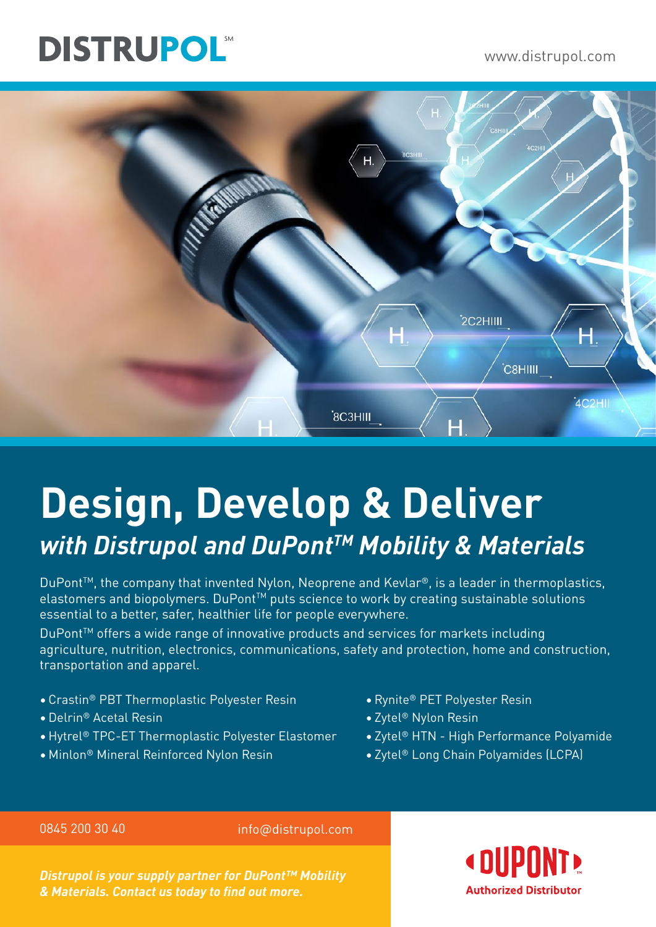# **DISTRUPOL®**

## www.distrupol.com



# **Design, Develop & Deliver** *with Distrupol and DuPontTM Mobility & Materials*

DuPont<sup>™</sup>, the company that invented Nylon, Neoprene and Kevlar<sup>®</sup>, is a leader in thermoplastics, elastomers and biopolymers. DuPont<sup>™</sup> puts science to work by creating sustainable solutions essential to a better, safer, healthier life for people everywhere.

DuPont<sup>™</sup> offers a wide range of innovative products and services for markets including agriculture, nutrition, electronics, communications, safety and protection, home and construction, transportation and apparel.

- Crastin® PBT Thermoplastic Polyester Resin
- •Delrin® Acetal Resin
- •Hytrel® TPC-ET Thermoplastic Polyester Elastomer
- Minlon® Mineral Reinforced Nylon Resin
- •Rynite® PET Polyester Resin
- Zytel® Nylon Resin
- Zytel® HTN High Performance Polyamide
- Zytel® Long Chain Polyamides (LCPA)

0845 200 30 40 info@distrupol.com

*Distrupol is your supply partner for DuPont™ Mobility & Materials. Contact us today to find out more.*

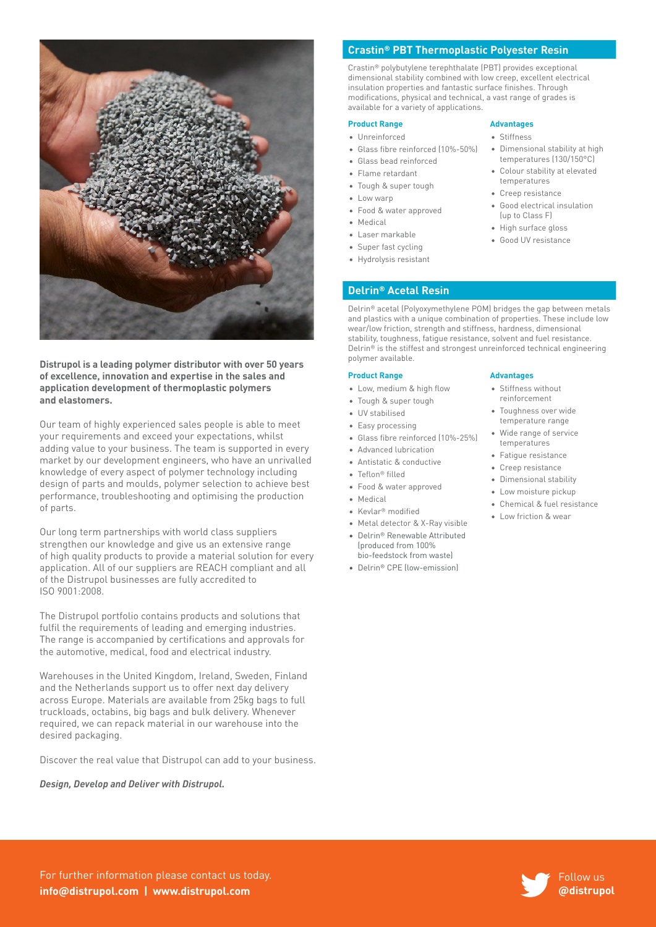

**Distrupol is a leading polymer distributor with over 50 years of excellence, innovation and expertise in the sales and application development of thermoplastic polymers and elastomers.**

Our team of highly experienced sales people is able to meet your requirements and exceed your expectations, whilst adding value to your business. The team is supported in every market by our development engineers, who have an unrivalled knowledge of every aspect of polymer technology including design of parts and moulds, polymer selection to achieve best performance, troubleshooting and optimising the production of parts.

Our long term partnerships with world class suppliers strengthen our knowledge and give us an extensive range of high quality products to provide a material solution for every application. All of our suppliers are REACH compliant and all of the Distrupol businesses are fully accredited to ISO 9001:2008.

The Distrupol portfolio contains products and solutions that fulfil the requirements of leading and emerging industries. The range is accompanied by certifications and approvals for the automotive, medical, food and electrical industry.

Warehouses in the United Kingdom, Ireland, Sweden, Finland and the Netherlands support us to offer next day delivery across Europe. Materials are available from 25kg bags to full truckloads, octabins, big bags and bulk delivery. Whenever required, we can repack material in our warehouse into the desired packaging.

Discover the real value that Distrupol can add to your business.

*Design, Develop and Deliver with Distrupol.*

#### **Crastin® PBT Thermoplastic Polyester Resin**

Crastin® polybutylene terephthalate (PBT) provides exceptional dimensional stability combined with low creep, excellent electrical insulation properties and fantastic surface finishes. Through modifications, physical and technical, a vast range of grades is available for a variety of applications.

#### **Product Range by Advantages** • Unreinforced

• Low warp

• Medical • Laser markable • Super fast cycling • Hydrolysis resistant

- Stiffness
- Dimensional stability at high temperatures (130/150°C)
- Colour stability at elevated temperatures
- Creep resistance
- Good electrical insulation (up to Class F)
- High surface gloss
- Good UV resistance
- **Delrin® Acetal Resin**

• Glass fibre reinforced (10%-50%)

• Glass bead reinforced • Flame retardant • Tough & super tough

• Food & water approved

Delrin® acetal (Polyoxymethylene POM) bridges the gap between metals and plastics with a unique combination of properties. These include low wear/low friction, strength and stiffness, hardness, dimensional stability, toughness, fatigue resistance, solvent and fuel resistance. Delrin® is the stiffest and strongest unreinforced technical engineering polymer available.

#### **Product Range Advantages**

- Low, medium & high flow
- Tough & super tough
- UV stabilised
- Easy processing
- Glass fibre reinforced (10%-25%)
- Advanced lubrication
- Antistatic & conductive
- Teflon® filled
- Food & water approved
- Medical
- Kevlar® modified
- Metal detector & X-Ray visible
- Delrin® Renewable Attributed (produced from 100% bio-feedstock from waste)
- Delrin® CPE (low-emission)

- Stiffness without reinforcement
- Toughness over wide temperature range
- Wide range of service temperatures
- Fatigue resistance
- Creep resistance
- Dimensional stability
- Low moisture pickup
- Chemical & fuel resistance
- Low friction & wear



For further information please contact us today. **info@distrupol.com | www.distrupol.com**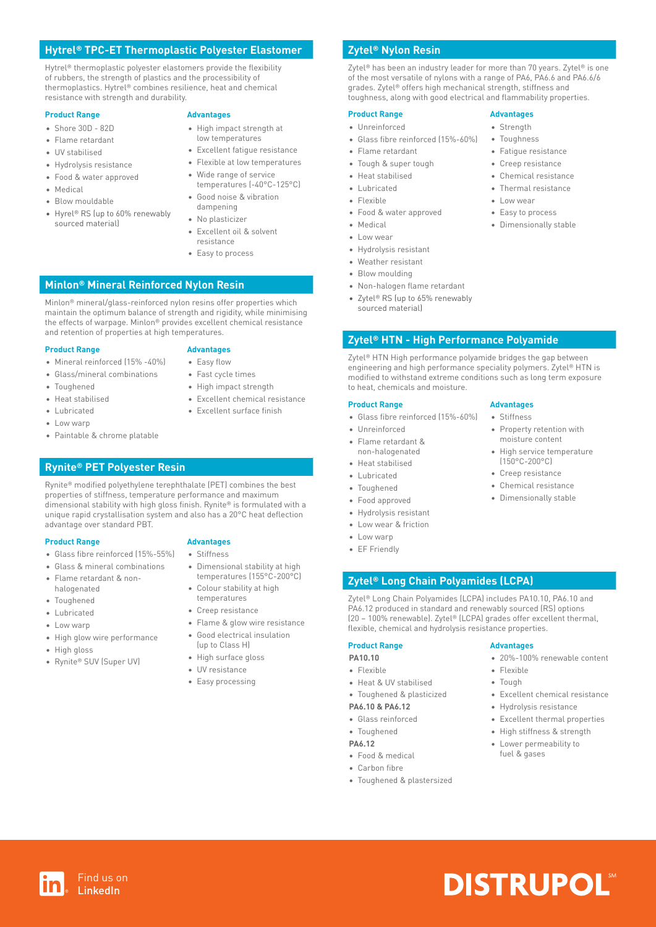### **Hytrel® TPC-ET Thermoplastic Polyester Elastomer**

Hytrel® thermoplastic polyester elastomers provide the flexibility of rubbers, the strength of plastics and the processibility of thermoplastics. Hytrel® combines resilience, heat and chemical resistance with strength and durability.

#### **Product Range by Advantages**

- Shore 30D 82D
- Flame retardant
- UV stabilised
- Hydrolysis resistance
- Food & water approved
- Medical
- Blow mouldable
- Hyrel® RS (up to 60% renewably sourced material)
- 
- High impact strength at
- low temperatures
- Excellent fatigue resistance • Flexible at low temperatures
- Wide range of service
- temperatures (-40°C-125°C)
- Good noise & vibration
- dampening
- No plasticizer
- Excellent oil & solvent resistance
- Easy to process

#### **Minlon® Mineral Reinforced Nylon Resin**

Minlon® mineral/glass-reinforced nylon resins offer properties which maintain the optimum balance of strength and rigidity, while minimising the effects of warpage. Minlon® provides excellent chemical resistance and retention of properties at high temperatures.

#### **Product Range by Advantages**

- Mineral reinforced (15% -40%) • Easy flow
- Glass/mineral combinations
- Toughened
- Heat stabilised
- Fast cycle times • High impact strength
- Excellent chemical resistance • Excellent surface finish
- Lubricated
- Low warp
- Paintable & chrome platable

#### **Rynite® PET Polyester Resin**

Rynite® modified polyethylene terephthalate (PET) combines the best properties of stiffness, temperature performance and maximum dimensional stability with high gloss finish. Rynite® is formulated with a unique rapid crystallisation system and also has a 20°C heat deflection advantage over standard PBT.

#### **Product Range 6 2008 10 Advantages**

- Glass fibre reinforced (15%-55%)
- Glass & mineral combinations
- Flame retardant & nonhalogenated
- Toughened
- Lubricated
- Low warn
- High glow wire performance

Find us on LinkedIn

- High gloss
- Rynite® SUV (Super UV)

### • Stiffness

- Dimensional stability at high
- temperatures (155°C-200°C) • Colour stability at high
- temperatures
- Creep resistance
- Flame & glow wire resistance
- Good electrical insulation (up to Class H)
- High surface gloss
- UV resistance
- Easy processing

#### **Zytel® Nylon Resin**

Zytel<sup>®</sup> has been an industry leader for more than 70 years. Zytel<sup>®</sup> is one of the most versatile of nylons with a range of PA6, PA6.6 and PA6.6/6 grades. Zytel® offers high mechanical strength, stiffness and toughness, along with good electrical and flammability properties.

> • Strength • Toughness • Fatigue resistance • Creep resistance • Chemical resistance • Thermal resistance • Low wear • Easy to process • Dimensionally stable

#### **Product Range Advantages**

- Unreinforced
- Glass fibre reinforced (15%-60%)
- Flame retardant
- Tough & super tough
- Heat stabilised
- Lubricated
- Flexible
- Food & water approved
- Medical
- Low wear
- Hydrolysis resistant
- Weather resistant
- Blow moulding
- Non-halogen flame retardant
- Zytel® RS (up to 65% renewably
	- sourced material)

#### **Zytel® HTN - High Performance Polyamide**

Zytel® HTN High performance polyamide bridges the gap between engineering and high performance speciality polymers. Zytel® HTN is modified to withstand extreme conditions such as long term exposure to heat, chemicals and moisture.

• Stiffness

• Property retention with moisture content • High service temperature (150°C-200°C) • Creep resistance • Chemical resistance • Dimensionally stable

• 20%-100% renewable content

• Excellent chemical resistance • Hydrolysis resistance • Excellent thermal properties • High stiffness & strength • Lower permeability to fuel & gases

**DISTRUPOL®** 

• Flexible • Tough

#### **Product Range by Advantages**

- Glass fibre reinforced (15%-60%)
- Unreinforced
- Flame retardant & non-halogenated
- Heat stabilised
- **Lubricated**
- **Toughened**
- Food approved
- Hydrolysis resistant
- Low wear & friction
- Low warp
- EF Friendly

#### **Zytel® Long Chain Polyamides (LCPA)**

Zytel® Long Chain Polyamides (LCPA) includes PA10.10, PA6.10 and PA6.12 produced in standard and renewably sourced (RS) options (20 – 100% renewable). Zytel® (LCPA) grades offer excellent thermal, flexible, chemical and hydrolysis resistance properties.

#### **Product Range by Advantages**

### **PA10.10**

- Flexible
- Heat & UV stabilised

#### • Toughened & plasticized

- **PA6.10 & PA6.12**
- Glass reinforced

• Toughened & plastersized

- Toughened
- **PA6.12** • Food & medical

• Carbon fibre